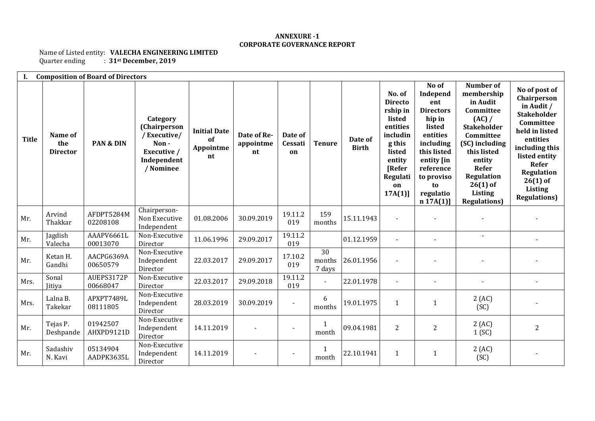## **ANNEXURE -1 CORPORATE GOVERNANCE REPORT**

## Name of Listed entity: **VALECHA ENGINEERING LIMITED**<br>Quarter ending : 31<sup>st</sup> December, 2019  $\left( \frac{1}{2} \cdot 31 \right)$ st December, 2019

| Ι.<br><b>Composition of Board of Directors</b> |                                   |                        |                                                                                                   |                                              |                                |                          |                                     |                         |                                                                                                                                                    |                                                                                                                                                                                  |                                                                                                                                                                                                                                |                                                                                                                                                                                                                        |
|------------------------------------------------|-----------------------------------|------------------------|---------------------------------------------------------------------------------------------------|----------------------------------------------|--------------------------------|--------------------------|-------------------------------------|-------------------------|----------------------------------------------------------------------------------------------------------------------------------------------------|----------------------------------------------------------------------------------------------------------------------------------------------------------------------------------|--------------------------------------------------------------------------------------------------------------------------------------------------------------------------------------------------------------------------------|------------------------------------------------------------------------------------------------------------------------------------------------------------------------------------------------------------------------|
| <b>Title</b>                                   | Name of<br>the<br><b>Director</b> | PAN & DIN              | Category<br><b>(Chairperson</b><br>/Executive/<br>Non-<br>Executive /<br>Independent<br>/ Nominee | <b>Initial Date</b><br>of<br>Appointme<br>nt | Date of Re-<br>appointme<br>nt | Date of<br>Cessati<br>on | <b>Tenure</b>                       | Date of<br><b>Birth</b> | No. of<br><b>Directo</b><br>rship in<br>listed<br>entities<br>includin<br>g this<br>listed<br>entity<br><b>[Refer</b><br>Regulati<br>on<br>17A(1)] | No of<br>Independ<br>ent<br><b>Directors</b><br>hip in<br>listed<br>entities<br>including<br>this listed<br>entity [in<br>reference<br>to proviso<br>to<br>regulatio<br>n 17A(1) | <b>Number of</b><br>membership<br>in Audit<br>Committee<br>(AC) /<br><b>Stakeholder</b><br>Committee<br>(SC) including<br>this listed<br>entity<br>Refer<br>Regulation<br>$26(1)$ of<br><b>Listing</b><br><b>Regulations</b> ) | No of post of<br>Chairperson<br>in Audit /<br><b>Stakeholder</b><br>Committee<br>held in listed<br>entities<br>including this<br>listed entity<br>Refer<br>Regulation<br>$26(1)$ of<br>Listing<br><b>Regulations</b> ) |
| Mr.                                            | Arvind<br>Thakkar                 | AFDPT5284M<br>02208108 | Chairperson-<br>Non Executive<br>Independent                                                      | 01.08.2006                                   | 30.09.2019                     | 19.11.2<br>019           | 159<br>months                       | 15.11.1943              |                                                                                                                                                    |                                                                                                                                                                                  |                                                                                                                                                                                                                                |                                                                                                                                                                                                                        |
| Mr.                                            | Jagdish<br>Valecha                | AAAPV6661L<br>00013070 | Non-Executive<br>Director                                                                         | 11.06.1996                                   | 29.09.2017                     | 19.11.2<br>019           |                                     | 01.12.1959              |                                                                                                                                                    |                                                                                                                                                                                  | $\blacksquare$                                                                                                                                                                                                                 |                                                                                                                                                                                                                        |
| Mr.                                            | Ketan H.<br>Gandhi                | AACPG6369A<br>00650579 | Non-Executive<br>Independent<br>Director                                                          | 22.03.2017                                   | 29.09.2017                     | 17.10.2<br>019           | $\overline{30}$<br>months<br>7 days | 26.01.1956              |                                                                                                                                                    |                                                                                                                                                                                  |                                                                                                                                                                                                                                |                                                                                                                                                                                                                        |
| Mrs.                                           | Sonal<br>Jitiya                   | AUEPS3172P<br>00668047 | Non-Executive<br>Director                                                                         | 22.03.2017                                   | 29.09.2018                     | 19.11.2<br>019           | $\blacksquare$                      | 22.01.1978              |                                                                                                                                                    |                                                                                                                                                                                  |                                                                                                                                                                                                                                |                                                                                                                                                                                                                        |
| Mrs.                                           | Lalna B.<br>Takekar               | APXPT7489L<br>08111805 | Non-Executive<br>Independent<br>Director                                                          | 28.03.2019                                   | 30.09.2019                     | $\overline{\phantom{a}}$ | 6<br>months                         | 19.01.1975              | $\mathbf{1}$                                                                                                                                       | 1                                                                                                                                                                                | 2(AC)<br>(SC)                                                                                                                                                                                                                  |                                                                                                                                                                                                                        |
| Mr.                                            | Tejas P.<br>Deshpande             | 01942507<br>AHXPD9121D | Non-Executive<br>Independent<br>Director                                                          | 14.11.2019                                   |                                |                          | $\mathbf{1}$<br>month               | 09.04.1981              | $\overline{2}$                                                                                                                                     | $\overline{c}$                                                                                                                                                                   | 2(AC)<br>1(SC)                                                                                                                                                                                                                 | $\overline{2}$                                                                                                                                                                                                         |
| Mr.                                            | Sadashiv<br>N. Kavi               | 05134904<br>AADPK3635L | Non-Executive<br>Independent<br>Director                                                          | 14.11.2019                                   | $\overline{\phantom{0}}$       | $\overline{\phantom{a}}$ | 1<br>month                          | 22.10.1941              | $\mathbf{1}$                                                                                                                                       | $\mathbf{1}$                                                                                                                                                                     | 2(AC)<br>(SC)                                                                                                                                                                                                                  |                                                                                                                                                                                                                        |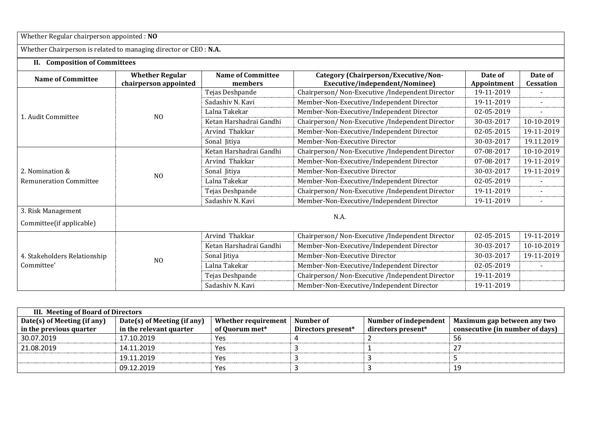Whether Regular chairperson appointed : **NO**

Whether Chairperson is related to managing director or CEO : **N.A.**

## **II. Composition of Committees**

|                               | <b>Whether Regular</b> | <b>Name of Committee</b>                                   | Category (Chairperson/Executive/Non-             | Date of     | Date of          |  |  |  |
|-------------------------------|------------------------|------------------------------------------------------------|--------------------------------------------------|-------------|------------------|--|--|--|
| <b>Name of Committee</b>      | chairperson appointed  | members                                                    | Executive/independent/Nominee)                   | Appointment | <b>Cessation</b> |  |  |  |
|                               |                        | Tejas Deshpande                                            | Chairperson/ Non-Executive /Independent Director | 19-11-2019  |                  |  |  |  |
|                               |                        | Sadashiv N. Kavi                                           | Member-Non-Executive/Independent Director        | 19-11-2019  |                  |  |  |  |
| 1. Audit Committee            | N <sub>O</sub>         | Member-Non-Executive/Independent Director<br>Lalna Takekar |                                                  | 02-05-2019  | $\blacksquare$   |  |  |  |
|                               |                        | Ketan Harshadrai Gandhi                                    | Chairperson/ Non-Executive /Independent Director | 30-03-2017  | 10-10-2019       |  |  |  |
|                               |                        | Arvind Thakkar                                             | Member-Non-Executive/Independent Director        | 02-05-2015  | 19-11-2019       |  |  |  |
|                               |                        | Sonal Jitiya                                               | Member-Non-Executive Director                    | 30-03-2017  | 19.11.2019       |  |  |  |
|                               | N <sub>0</sub>         | Ketan Harshadrai Gandhi                                    | Chairperson/ Non-Executive /Independent Director | 07-08-2017  | 10-10-2019       |  |  |  |
|                               |                        | Arvind Thakkar                                             | Member-Non-Executive/Independent Director        | 07-08-2017  | 19-11-2019       |  |  |  |
| 2. Nomination &               |                        | Sonal Jitiya                                               | Member-Non-Executive Director                    | 30-03-2017  | 19-11-2019       |  |  |  |
| <b>Remuneration Committee</b> |                        | Lalna Takekar                                              | Member-Non-Executive/Independent Director        | 02-05-2019  |                  |  |  |  |
|                               |                        | Tejas Deshpande                                            | Chairperson/Non-Executive/Independent Director   | 19-11-2019  |                  |  |  |  |
|                               |                        | Sadashiv N. Kavi                                           | Member-Non-Executive/Independent Director        | 19-11-2019  | $\blacksquare$   |  |  |  |
| 3. Risk Management            | N.A.                   |                                                            |                                                  |             |                  |  |  |  |
| Committee(if applicable)      |                        |                                                            |                                                  |             |                  |  |  |  |
|                               |                        | Arvind Thakkar                                             | Chairperson/ Non-Executive /Independent Director | 02-05-2015  | 19-11-2019       |  |  |  |
|                               |                        | Ketan Harshadrai Gandhi                                    | Member-Non-Executive/Independent Director        | 30-03-2017  | 10-10-2019       |  |  |  |
| 4. Stakeholders Relationship  | N <sub>O</sub>         | Sonal Jitiya                                               | Member-Non-Executive Director                    | 30-03-2017  | 19-11-2019       |  |  |  |
| Committee'                    |                        | Lalna Takekar                                              | Member-Non-Executive/Independent Director        | 02-05-2019  |                  |  |  |  |
|                               |                        | Tejas Deshpande                                            | Chairperson/ Non-Executive /Independent Director | 19-11-2019  |                  |  |  |  |
|                               |                        | Sadashiv N. Kavi                                           | Member-Non-Executive/Independent Director        | 19-11-2019  |                  |  |  |  |

| III. Meeting of Board of Directors |                             |                     |                    |                       |                                 |  |  |  |
|------------------------------------|-----------------------------|---------------------|--------------------|-----------------------|---------------------------------|--|--|--|
| Date(s) of Meeting (if any)        | Date(s) of Meeting (if any) | Whether requirement | Number of          | Number of independent | Maximum gap between any two     |  |  |  |
| in the previous quarter            | in the relevant quarter     | of Quorum met*      | Directors present* | directors present*    | consecutive (in number of days) |  |  |  |
| 30.07.2019                         | 17.10.2019                  | Yes                 |                    |                       | 56                              |  |  |  |
| 21.08.2019                         | 14.11.2019                  | Yes                 |                    |                       |                                 |  |  |  |
|                                    | 19.11.2019                  | Yes                 |                    |                       |                                 |  |  |  |
|                                    | 09.12.2019                  | Yes                 |                    |                       | 19                              |  |  |  |